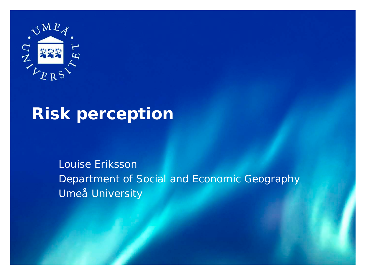

#### **Risk perception**

Louise Eriksson Department of Social and Economic Geography Umeå University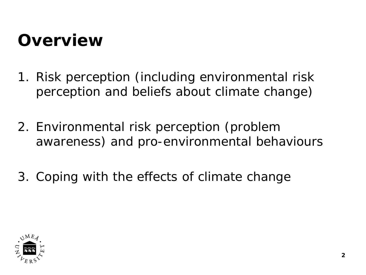#### **Overview**

- 1. Risk perception (including environmental risk perception and beliefs about climate change)
- 2. Environmental risk perception (problem awareness) and pro-environmental behaviours
- 3. Coping with the effects of climate change

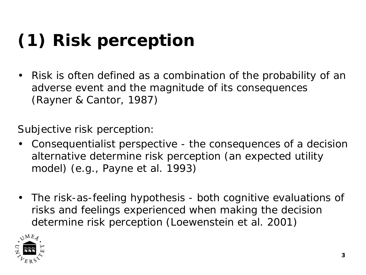# **(1) Risk perception**

• Risk is often defined as a combination of the probability of an adverse event and the magnitude of its consequences (Rayner & Cantor, 1987)

Subjective risk perception:

- Consequentialist perspective the consequences of a decision alternative determine risk perception (an expected utility model) (e.g., Payne et al. 1993)
- The risk-as-feeling hypothesis both cognitive evaluations of risks and feelings experienced when making the decision determine risk perception (Loewenstein et al. 2001)

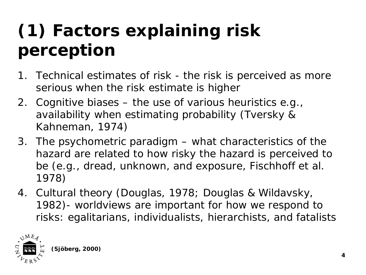## **(1) Factors explaining risk perception**

- 1. Technical estimates of risk the risk is perceived as more serious when the risk estimate is higher
- 2. Cognitive biases the use of various heuristics e.g., availability when estimating probability (Tversky & Kahneman, 1974)
- 3. The psychometric paradigm what characteristics of the hazard are related to how risky the hazard is perceived to be (e.g., dread, unknown, and exposure, Fischhoff et al. 1978)
- 4. Cultural theory (Douglas, 1978; Douglas & Wildavsky, 1982)- worldviews are important for how we respond to risks: egalitarians, individualists, hierarchists, and fatalists

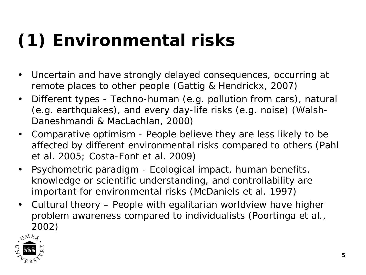## **(1) Environmental risks**

- Uncertain and have strongly delayed consequences, occurring at remote places to other people (Gattig & Hendrickx, 2007)
- Different types Techno-human (e.g. pollution from cars), natural (e.g. earthquakes), and every day-life risks (e.g. noise) (Walsh-Daneshmandi & MacLachlan, 2000)
- Comparative optimism People believe they are less likely to be affected by different environmental risks compared to others (Pahl et al. 2005; Costa-Font et al. 2009)
- Psychometric paradigm Ecological impact, human benefits, knowledge or scientific understanding, and controllability are important for environmental risks (McDaniels et al. 1997)
- Cultural theory People with egalitarian worldview have higher problem awareness compared to individualists (Poortinga et al., 2002)

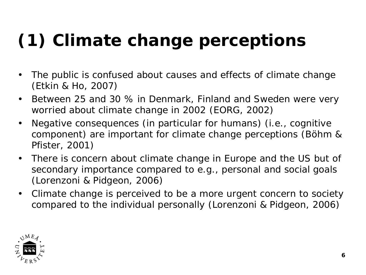# **(1) Climate change perceptions**

- The public is confused about causes and effects of climate change (Etkin & Ho, 2007)
- Between 25 and 30 % in Denmark, Finland and Sweden were very worried about climate change in 2002 (EORG, 2002)
- Negative consequences (in particular for humans) (i.e., cognitive component) are important for climate change perceptions (Böhm & Pfister, 2001)
- There is concern about climate change in Europe and the US but of secondary importance compared to e.g., personal and social goals (Lorenzoni & Pidgeon, 2006)
- Climate change is perceived to be a more urgent concern to society compared to the individual personally (Lorenzoni & Pidgeon, 2006)

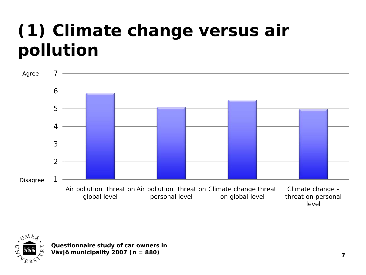#### **(1) Climate change versus air pollution**





**Questionnaire study of car owners in Växjö municipality 2007 (n = 880) <sup>7</sup>**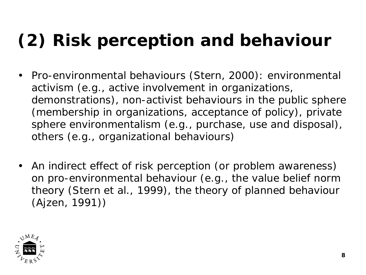## **(2) Risk perception and behaviour**

- Pro-environmental behaviours (Stern, 2000): environmental activism (e.g., active involvement in organizations, demonstrations), non-activist behaviours in the public sphere (membership in organizations, acceptance of policy), private sphere environmentalism (e.g., purchase, use and disposal), others (e.g., organizational behaviours)
- An indirect effect of risk perception (or problem awareness) on pro-environmental behaviour (e.g., the value belief norm theory (Stern et al., 1999), the theory of planned behaviour (Ajzen, 1991))

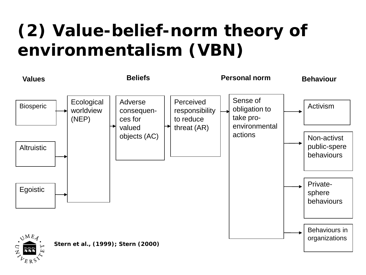## **(2) Value-belief-norm theory of environmentalism (VBN)**

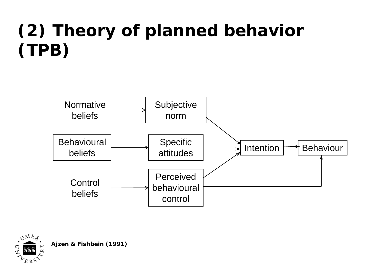## **(2) Theory of planned behavior (TPB)**





**Ajzen & Fishbein (1991)**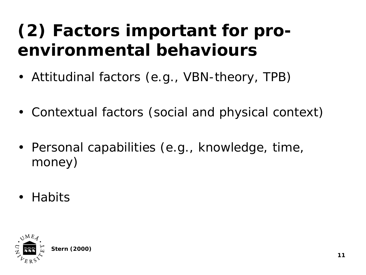#### **(2) Factors important for proenvironmental behaviours**

- Attitudinal factors (e.g., VBN-theory, TPB)
- Contextual factors (social and physical context)
- Personal capabilities (e.g., knowledge, time, money)
- Habits

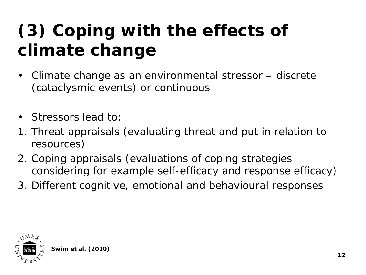## **(3) Coping with the effects of climate change**

- Climate change as an environmental stressor discrete (cataclysmic events) or continuous
- Stressors lead to:
- 1. Threat appraisals (evaluating threat and put in relation to resources)
- 2. Coping appraisals (evaluations of coping strategies considering for example self-efficacy and response efficacy)
- 3. Different cognitive, emotional and behavioural responses